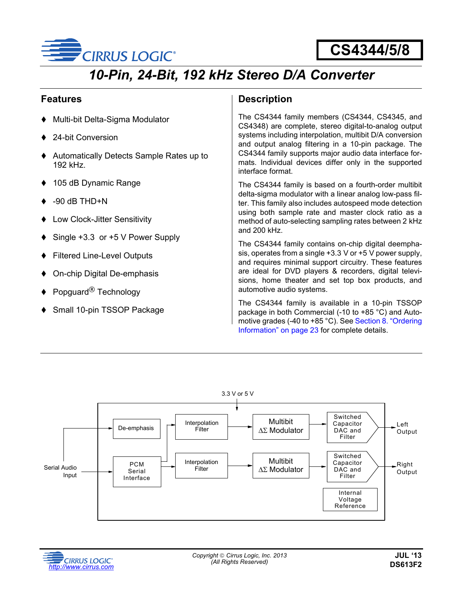

# **CS4344/5/8**

# *10-Pin, 24-Bit, 192 kHz Stereo D/A Converter*

### **Features**

- Multi-bit Delta-Sigma Modulator
- 24-bit Conversion
- Automatically Detects Sample Rates up to 192 kHz.
- 105 dB Dynamic Range
- $-90$  dB THD $+N$
- Low Clock-Jitter Sensitivity
- Single +3.3 or +5 V Power Supply
- Filtered Line-Level Outputs
- On-chip Digital De-emphasis
- Popguard<sup>®</sup> Technology
- Small 10-pin TSSOP Package

### **Description**

The CS4344 family members (CS4344, CS4345, and CS4348) are complete, stereo digital-to-analog output systems including interpolation, multibit D/A conversion and output analog filtering in a 10-pin package. The CS4344 family supports major audio data interface formats. Individual devices differ only in the supported interface format.

The CS4344 family is based on a fourth-order multibit delta-sigma modulator with a linear analog low-pass filter. This family also includes autospeed mode detection using both sample rate and master clock ratio as a method of auto-selecting sampling rates between 2 kHz and 200 kHz.

The CS4344 family contains on-chip digital deemphasis, operates from a single +3.3 V or +5 V power supply, and requires minimal support circuitry. These features are ideal for DVD players & recorders, digital televisions, home theater and set top box products, and automotive audio systems.

The CS4344 family is available in a 10-pin TSSOP package in both Commercial (-10 to +85 °C) and Automotive grades (-40 to +85 °C). See [Section 8. "Ordering](#page-22-0) [Information" on page 23](#page-22-0) for complete details.



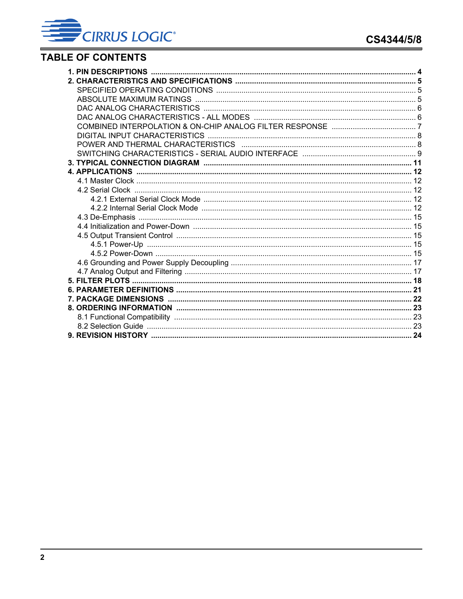## **TABLE OF CONTENTS**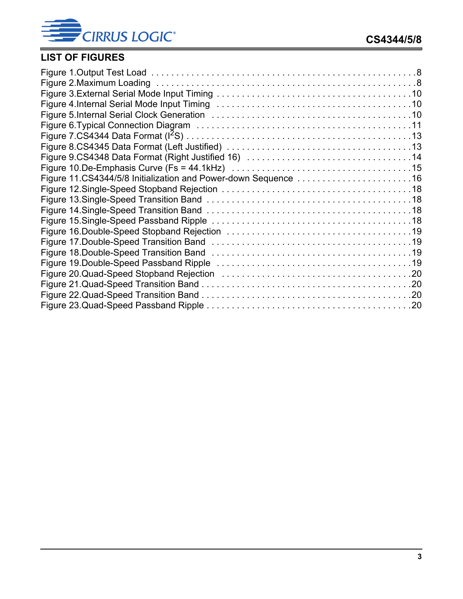CIRRUS LOGIC®

## **LIST OF FIGURES**

| Figure 11.CS4344/5/8 Initialization and Power-down Sequence 16 |  |
|----------------------------------------------------------------|--|
|                                                                |  |
|                                                                |  |
|                                                                |  |
|                                                                |  |
|                                                                |  |
|                                                                |  |
|                                                                |  |
|                                                                |  |
|                                                                |  |
|                                                                |  |
|                                                                |  |
|                                                                |  |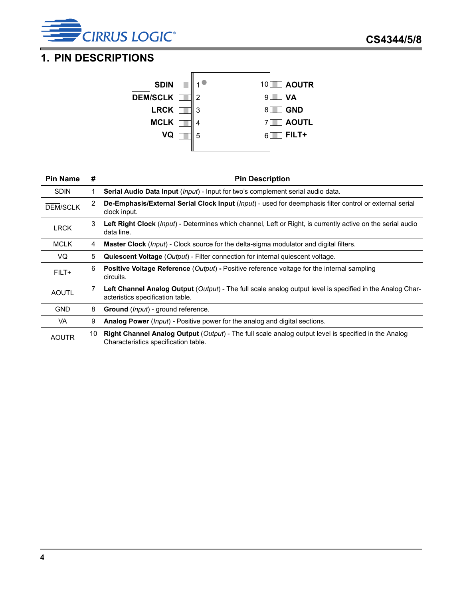

## <span id="page-3-0"></span>**1. PIN DESCRIPTIONS**



| <b>Pin Name</b> | #  | <b>Pin Description</b>                                                                                                                               |
|-----------------|----|------------------------------------------------------------------------------------------------------------------------------------------------------|
| <b>SDIN</b>     | 1  | Serial Audio Data Input (Input) - Input for two's complement serial audio data.                                                                      |
| <b>DEM/SCLK</b> | 2  | De-Emphasis/External Serial Clock Input (Input) - used for deemphasis filter control or external serial<br>clock input.                              |
| <b>LRCK</b>     | 3  | Left Right Clock (Input) - Determines which channel, Left or Right, is currently active on the serial audio<br>data line.                            |
| <b>MCLK</b>     | 4  | <b>Master Clock</b> ( <i>lnput</i> ) - Clock source for the delta-sigma modulator and digital filters.                                               |
| VQ              | 5  | <b>Quiescent Voltage</b> (Output) - Filter connection for internal quiescent voltage.                                                                |
| FILT+           | 6  | <b>Positive Voltage Reference (Output) - Positive reference voltage for the internal sampling</b><br>circuits.                                       |
| <b>AOUTL</b>    | 7  | <b>Left Channel Analog Output</b> (Output) - The full scale analog output level is specified in the Analog Char-<br>acteristics specification table. |
| <b>GND</b>      | 8  | <b>Ground</b> ( <i>lnput</i> ) - ground reference.                                                                                                   |
| VA.             | 9  | <b>Analog Power</b> ( <i>lnput</i> ) - Positive power for the analog and digital sections.                                                           |
| <b>AOUTR</b>    | 10 | <b>Right Channel Analog Output</b> (Output) - The full scale analog output level is specified in the Analog<br>Characteristics specification table.  |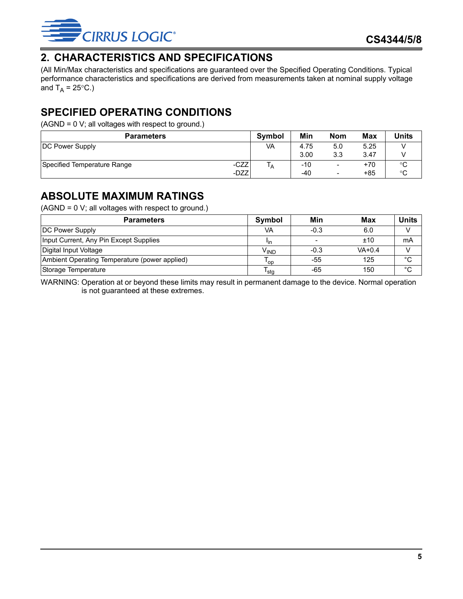

## <span id="page-4-0"></span>**2. CHARACTERISTICS AND SPECIFICATIONS**

(All Min/Max characteristics and specifications are guaranteed over the [Specified Operating Conditions.](#page-4-1) Typical performance characteristics and specifications are derived from measurements taken at nominal supply voltage and  $T_A = 25^{\circ}C$ .)

## <span id="page-4-1"></span>**SPECIFIED OPERATING CONDITIONS**

(AGND = 0 V; all voltages with respect to ground.)

| <b>Parameters</b>                   | <b>Symbol</b> | Min   | <b>Nom</b>               | <b>Max</b> | <b>Units</b> |
|-------------------------------------|---------------|-------|--------------------------|------------|--------------|
| DC Power Supply                     | VA            | 4.75  | 5.0                      | 5.25       |              |
|                                     |               | 3.00  | 3.3                      | 3.47       |              |
| -CZZ<br>Specified Temperature Range | ۱A            | -10   | $\overline{\phantom{0}}$ | +70        | $\sim$<br>◡  |
| -DZZ                                |               | $-40$ | -                        | +85        | °C           |

## <span id="page-4-2"></span>**ABSOLUTE MAXIMUM RATINGS**

(AGND = 0 V; all voltages with respect to ground.)

| <b>Parameters</b>                             | Symbol           | Min    | Max        | Units |
|-----------------------------------------------|------------------|--------|------------|-------|
| <b>DC Power Supply</b>                        | VA               | $-0.3$ | 6.0        |       |
| Input Current, Any Pin Except Supplies        | lin.             |        | ±10        | mA    |
| Digital Input Voltage                         | V <sub>IND</sub> | $-0.3$ | $VA + 0.4$ |       |
| Ambient Operating Temperature (power applied) | l op             | -55    | 125        | °C    |
| Storage Temperature                           | 'sta             | -65    | 150        | °C    |

WARNING: Operation at or beyond these limits may result in permanent damage to the device. Normal operation is not guaranteed at these extremes.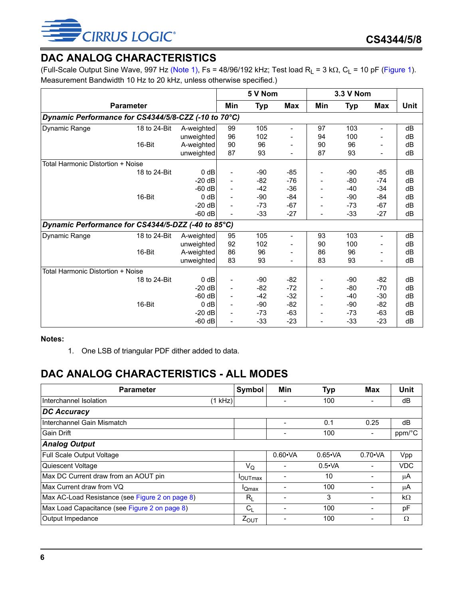## <span id="page-5-0"></span>**DAC ANALOG CHARACTERISTICS**

(Full-Scale Output Sine Wave, 997 Hz [\(Note 1\),](#page-5-2) Fs = 48/96/192 kHz; Test load  $R_L$  = 3 k $\Omega$ ,  $C_L$  = 10 pF ([Figure 1\)](#page-7-2). Measurement Bandwidth 10 Hz to 20 kHz, unless otherwise specified.)

|                                                      |                  |            | 5 V Nom |       |                          |                          | 3.3 V Nom |       |             |  |
|------------------------------------------------------|------------------|------------|---------|-------|--------------------------|--------------------------|-----------|-------|-------------|--|
|                                                      | <b>Parameter</b> |            |         |       | <b>Max</b>               | Min                      | Typ       | Max   | <b>Unit</b> |  |
| Dynamic Performance for CS4344/5/8-CZZ (-10 to 70°C) |                  |            |         |       |                          |                          |           |       |             |  |
| Dynamic Range                                        | 18 to 24-Bit     | A-weighted | 99      | 105   | -                        | 97                       | 103       | Ξ.    | dB          |  |
|                                                      |                  | unweighted | 96      | 102   |                          | 94                       | 100       |       | dB          |  |
|                                                      | 16-Bit           | A-weighted | 90      | 96    | -                        | 90                       | 96        | Ξ.    | dB          |  |
|                                                      |                  | unweighted | 87      | 93    |                          | 87                       | 93        |       | dB          |  |
| Total Harmonic Distortion + Noise                    |                  |            |         |       |                          |                          |           |       |             |  |
|                                                      | 18 to 24-Bit     | $0$ dB     |         | $-90$ | $-85$                    | -                        | -90       | $-85$ | dB          |  |
|                                                      |                  | $-20$ dB   |         | $-82$ | $-76$                    |                          | -80       | $-74$ | dB          |  |
|                                                      |                  | $-60$ dB   |         | $-42$ | $-36$                    | $\overline{\phantom{0}}$ | -40       | $-34$ | dB          |  |
|                                                      | 16-Bit           | 0 dB       |         | $-90$ | $-84$                    | $\qquad \qquad -$        | -90       | $-84$ | dB          |  |
|                                                      |                  | $-20 dB$   |         | $-73$ | $-67$                    | $\overline{\phantom{0}}$ | -73       | $-67$ | dB          |  |
|                                                      |                  | $-60$ dB   |         | $-33$ | $-27$                    |                          | $-33$     | $-27$ | dB          |  |
| Dynamic Performance for CS4344/5-DZZ (-40 to 85°C)   |                  |            |         |       |                          |                          |           |       |             |  |
| Dynamic Range                                        | 18 to 24-Bit     | A-weighted | 95      | 105   |                          | 93                       | 103       |       | dB          |  |
|                                                      |                  | unweighted | 92      | 102   |                          | 90                       | 100       |       | dB          |  |
|                                                      | 16-Bit           | A-weighted | 86      | 96    |                          | 86                       | 96        |       | dB          |  |
|                                                      |                  | unweighted | 83      | 93    | $\overline{\phantom{0}}$ | 83                       | 93        |       | dB          |  |
| Total Harmonic Distortion + Noise                    |                  |            |         |       |                          |                          |           |       |             |  |
|                                                      | 18 to 24-Bit     | 0 dB       |         | $-90$ | $-82$                    | -                        | -90       | $-82$ | dB          |  |
|                                                      |                  | $-20 dB$   | -       | $-82$ | $-72$                    | $\qquad \qquad -$        | $-80$     | $-70$ | dB          |  |
|                                                      |                  | $-60$ dB   |         | $-42$ | $-32$                    | $\qquad \qquad -$        | -40       | $-30$ | dB          |  |
|                                                      | 16-Bit           | 0 dB       |         | $-90$ | $-82$                    | $\overline{\phantom{a}}$ | $-90$     | $-82$ | dB          |  |
|                                                      |                  | $-20 dB$   |         | $-73$ | $-63$                    | $\overline{\phantom{0}}$ | -73       | -63   | dB          |  |
|                                                      |                  | $-60$ dB   |         | $-33$ | $-23$                    |                          | $-33$     | $-23$ | dB          |  |

<span id="page-5-2"></span>**Notes:**

1. One LSB of triangular PDF dither added to data.

## <span id="page-5-1"></span>**DAC ANALOG CHARACTERISTICS - ALL MODES**

| <b>Parameter</b>                                | Symbol            | Min             | <b>Typ</b>     | <b>Max</b>      | Unit       |
|-------------------------------------------------|-------------------|-----------------|----------------|-----------------|------------|
| Interchannel Isolation<br>(1 kHz)               |                   |                 | 100            |                 | dB         |
| <b>DC Accuracy</b>                              |                   |                 |                |                 |            |
| Interchannel Gain Mismatch                      |                   |                 | 0.1            | 0.25            | dB         |
| Gain Drift                                      |                   |                 | 100            |                 | ppm/°C     |
| <b>Analog Output</b>                            |                   |                 |                |                 |            |
| Full Scale Output Voltage                       |                   | $0.60 \cdot VA$ | $0.65\cdot VA$ | $0.70 \cdot VA$ | Vpp        |
| Quiescent Voltage                               | $V_Q$             |                 | $0.5\cdot VA$  |                 | <b>VDC</b> |
| Max DC Current draw from an AOUT pin            | <b>I</b> OUTmax   |                 | 10             |                 | μA         |
| Max Current draw from VQ                        | <sup>I</sup> Qmax |                 | 100            |                 | μA         |
| Max AC-Load Resistance (see Figure 2 on page 8) | $R_{I}$           |                 | 3              |                 | kΩ         |
| Max Load Capacitance (see Figure 2 on page 8)   | $C_{L}$           |                 | 100            |                 | pF         |
| Output Impedance                                | $Z_{\text{OUT}}$  |                 | 100            |                 | Ω          |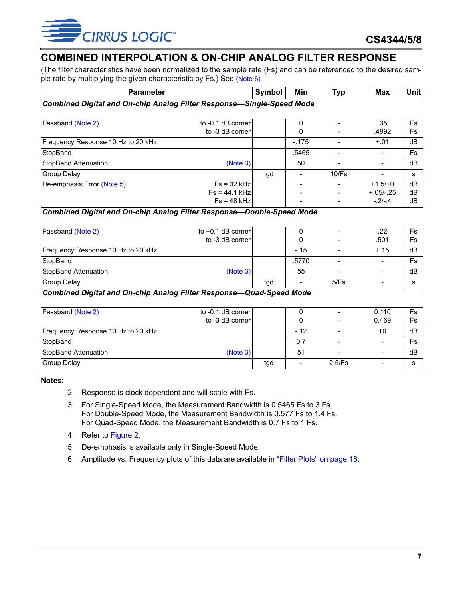

### <span id="page-6-0"></span>**COMBINED INTERPOLATION & ON-CHIP ANALOG FILTER RESPONSE**

(The filter characteristics have been normalized to the sample rate (Fs) and can be referenced to the desired sample rate by multiplying the given characteristic by Fs.) See [\(Note 6\)](#page-6-4)

| <b>Parameter</b>                                                             | Symbol              | Min | <b>Typ</b>               | <b>Max</b>               | <b>Unit</b>    |           |
|------------------------------------------------------------------------------|---------------------|-----|--------------------------|--------------------------|----------------|-----------|
| <b>Combined Digital and On-chip Analog Filter Response-Single-Speed Mode</b> |                     |     |                          |                          |                |           |
|                                                                              |                     |     |                          |                          |                |           |
| Passband (Note 2)                                                            | to -0.1 dB corner   |     | $\mathbf{0}$             | $\equiv$                 | .35            | <b>Fs</b> |
|                                                                              | to -3 dB corner     |     | $\Omega$                 |                          | .4992          | <b>Fs</b> |
| Frequency Response 10 Hz to 20 kHz                                           |                     |     | $-.175$                  | $\blacksquare$           | $+.01$         | dB        |
| StopBand                                                                     |                     |     | .5465                    | $\blacksquare$           | $\blacksquare$ | <b>Fs</b> |
| <b>StopBand Attenuation</b>                                                  | (Note 3)            |     | 50                       |                          | $\blacksquare$ | dB        |
| <b>Group Delay</b>                                                           |                     | tgd | $\overline{\phantom{0}}$ | 10/Fs                    | $\sim$         | s         |
| De-emphasis Error (Note 5)                                                   | $Fs = 32 kHz$       |     | $\overline{a}$           |                          | $+1.5/+0$      | dB        |
|                                                                              | $Fs = 44.1 kHz$     |     |                          |                          | $+.05/-.25$    | dB        |
|                                                                              | $Fs = 48 kHz$       |     |                          |                          | $-.2/-.4$      | dB        |
| <b>Combined Digital and On-chip Analog Filter Response-Double-Speed Mode</b> |                     |     |                          |                          |                |           |
| Passband (Note 2)                                                            | to $+0.1$ dB corner |     | $\mathbf{0}$             | $\blacksquare$           | .22            | <b>Fs</b> |
|                                                                              | to -3 dB corner     |     | 0                        |                          | .501           | <b>Fs</b> |
| Frequency Response 10 Hz to 20 kHz                                           |                     |     | $-.15$                   | $\overline{a}$           | $+.15$         | dB        |
| StopBand                                                                     |                     |     | .5770                    | $\overline{\phantom{a}}$ | $\blacksquare$ | <b>Fs</b> |
| <b>StopBand Attenuation</b>                                                  | (Note 3)            |     | 55                       |                          | $\blacksquare$ | dB        |
| Group Delay                                                                  |                     | tgd |                          | 5/Fs                     | $\blacksquare$ | s         |
| <b>Combined Digital and On-chip Analog Filter Response-Quad-Speed Mode</b>   |                     |     |                          |                          |                |           |
| Passband (Note 2)                                                            | to -0.1 dB corner   |     | $\mathbf{0}$             | $\sim$                   | 0.110          | <b>Fs</b> |
|                                                                              | to -3 dB corner     |     | $\Omega$                 |                          | 0.469          | <b>Fs</b> |
| Frequency Response 10 Hz to 20 kHz                                           |                     |     | $-.12$                   | $\overline{a}$           | $+0$           | dB        |
| StopBand                                                                     |                     |     | 0.7                      | $\blacksquare$           | $\blacksquare$ | <b>Fs</b> |
| <b>StopBand Attenuation</b>                                                  | (Note 3)            |     | 51                       |                          | $\blacksquare$ | dB        |
| Group Delay                                                                  |                     | tgd |                          | 2.5/Fs                   | $\blacksquare$ | s         |

<span id="page-6-2"></span><span id="page-6-1"></span>**Notes:**

- 2. Response is clock dependent and will scale with Fs.
- 3. For Single-Speed Mode, the Measurement Bandwidth is 0.5465 Fs to 3 Fs. For Double-Speed Mode, the Measurement Bandwidth is 0.577 Fs to 1.4 Fs. For Quad-Speed Mode, the Measurement Bandwidth is 0.7 Fs to 1 Fs.
- 4. Refer to [Figure 2.](#page-7-3)
- <span id="page-6-3"></span>5. De-emphasis is available only in Single-Speed Mode.
- <span id="page-6-4"></span>6. Amplitude vs. Frequency plots of this data are available in ["Filter Plots" on page 18.](#page-17-0)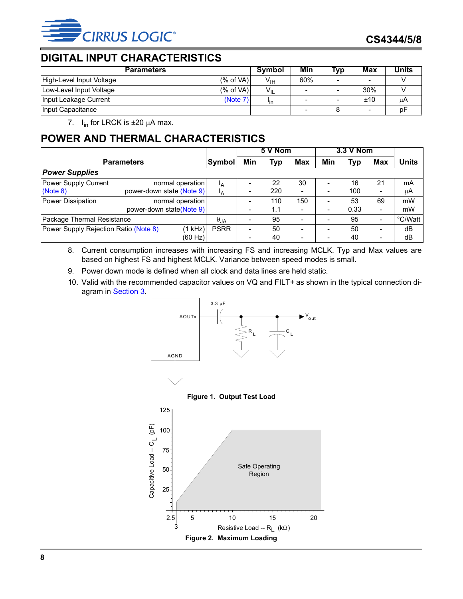

### <span id="page-7-0"></span>**DIGITAL INPUT CHARACTERISTICS**

| <b>Parameters</b>                     | Symbol                 | Min | Tvo                      | Max                      | Units |
|---------------------------------------|------------------------|-----|--------------------------|--------------------------|-------|
| (% of VA)<br>High-Level Input Voltage | $V_{\text{IH}}$        | 60% | -                        | $\overline{\phantom{0}}$ |       |
| (% of VA)<br>Low-Level Input Voltage  | $V_{IL}$               |     | -                        | 30%                      |       |
| Input Leakage Current<br>(Note 7)     | <b>I</b> <sub>in</sub> |     | $\overline{\phantom{a}}$ | ±10                      | цA    |
| Input Capacitance                     |                        |     |                          | $\overline{\phantom{0}}$ | b۲    |

7.  $I_{in}$  for LRCK is  $\pm 20$  µA max.

## <span id="page-7-5"></span><span id="page-7-1"></span>**POWER AND THERMAL CHARACTERISTICS**

|                                       |                           | 5 V Nom     |     |            | 3.3 V Nom                |                          |      |                          |              |
|---------------------------------------|---------------------------|-------------|-----|------------|--------------------------|--------------------------|------|--------------------------|--------------|
| Symbol<br><b>Parameters</b>           |                           |             | Min | <b>Typ</b> | <b>Max</b>               | Min                      | Typ  | Max                      | <b>Units</b> |
| <b>Power Supplies</b>                 |                           |             |     |            |                          |                          |      |                          |              |
| Power Supply Current                  | normal operation          | Iд          |     | 22         | 30                       |                          | 16   | 21                       | mA           |
| (Note 8)                              | power-down state (Note 9) | Iд          |     | 220        | $\overline{\phantom{0}}$ | -                        | 100  | ۰                        | μA           |
| Power Dissipation                     | normal operation          |             |     | 110        | 150                      | $\overline{\phantom{0}}$ | 53   | 69                       | mW           |
|                                       | power-down state(Note 9)  |             |     | 1.1        | ۰                        | $\overline{\phantom{a}}$ | 0.33 | $\overline{\phantom{a}}$ | mW           |
| Package Thermal Resistance            |                           |             |     | 95         |                          |                          | 95   | ۰                        | °C/Watt      |
| Power Supply Rejection Ratio (Note 8) | (1 kHz)                   | <b>PSRR</b> | ۰   | 50         | $\overline{\phantom{a}}$ | $\overline{\phantom{0}}$ | 50   | Ξ.                       | dB           |
|                                       | (60 Hz)                   |             |     | 40         | $\overline{\phantom{0}}$ |                          | 40   | $\overline{\phantom{a}}$ | dB           |

<span id="page-7-6"></span>8. Current consumption increases with increasing FS and increasing MCLK. Typ and Max values are based on highest FS and highest MCLK. Variance between speed modes is small.

- <span id="page-7-4"></span>9. Power down mode is defined when all clock and data lines are held static.
- 10. Valid with the recommended capacitor values on VQ and FILT+ as shown in the typical connection diagram in [Section 3](#page-10-0).





<span id="page-7-3"></span><span id="page-7-2"></span>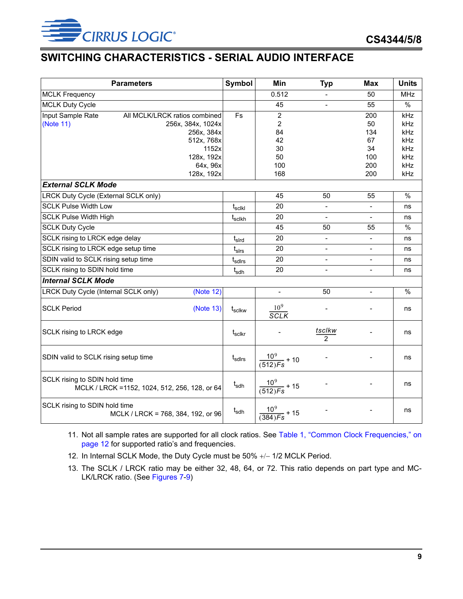

### <span id="page-8-0"></span>**SWITCHING CHARACTERISTICS - SERIAL AUDIO INTERFACE**

|                                      | <b>Parameters</b>                              | Symbol                     | Min                         | <b>Typ</b>       | Max                      | <b>Units</b>  |
|--------------------------------------|------------------------------------------------|----------------------------|-----------------------------|------------------|--------------------------|---------------|
| <b>MCLK Frequency</b>                |                                                |                            | 0.512                       |                  | 50                       | <b>MHz</b>    |
| <b>MCLK Duty Cycle</b>               |                                                |                            | 45                          |                  | 55                       | $\frac{0}{0}$ |
| Input Sample Rate                    | All MCLK/LRCK ratios combined                  | <b>Fs</b>                  | $\overline{2}$              |                  | 200                      | kHz           |
| (Note 11)                            | 256x, 384x, 1024x                              |                            | $\overline{2}$              |                  | 50                       | kHz           |
|                                      | 256x, 384x                                     |                            | 84                          |                  | 134                      | kHz           |
|                                      | 512x, 768x                                     |                            | 42                          |                  | 67                       | kHz           |
|                                      | 1152x                                          |                            | 30                          |                  | 34                       | kHz           |
|                                      | 128x, 192x                                     |                            | 50                          |                  | 100                      | kHz           |
|                                      | 64x, 96x                                       |                            | 100                         |                  | 200                      | kHz           |
|                                      | 128x, 192x                                     |                            | 168                         |                  | 200                      | kHz           |
| <b>External SCLK Mode</b>            |                                                |                            |                             |                  |                          |               |
| LRCK Duty Cycle (External SCLK only) |                                                |                            | 45                          | 50               | 55                       | $\%$          |
| <b>SCLK Pulse Width Low</b>          |                                                | $\mathfrak{t}_{\sf sclkl}$ | 20                          |                  | $\overline{\phantom{a}}$ | ns            |
| <b>SCLK Pulse Width High</b>         |                                                | $t_{\sf sclkh}$            | 20                          |                  | $\overline{\phantom{a}}$ | ns            |
| <b>SCLK Duty Cycle</b>               |                                                |                            | 45                          | 50               | 55                       | $\%$          |
| SCLK rising to LRCK edge delay       |                                                | $t_{\sf s}$                | 20                          |                  |                          | ns            |
| SCLK rising to LRCK edge setup time  |                                                | $t_{slrs}$                 | 20                          |                  | $\overline{\phantom{a}}$ | ns            |
| SDIN valid to SCLK rising setup time |                                                | t <sub>sdirs</sub>         | 20                          |                  | $\blacksquare$           | ns            |
| SCLK rising to SDIN hold time        |                                                | $t_{\text{sdh}}$           | 20                          |                  | $\blacksquare$           | ns            |
| <b>Internal SCLK Mode</b>            |                                                |                            |                             |                  |                          |               |
| LRCK Duty Cycle (Internal SCLK only) | (Note 12)                                      |                            | $\overline{\phantom{a}}$    | 50               | $\blacksquare$           | %             |
| <b>SCLK Period</b>                   | (Note 13)                                      | $t_{\rm sclkw}$            | $\frac{10^9}{SCLK}$         |                  |                          | ns            |
| SCLK rising to LRCK edge             |                                                | t <sub>sclkr</sub>         |                             | $rac{tsclkw}{2}$ |                          | ns            |
| SDIN valid to SCLK rising setup time |                                                | t <sub>sdirs</sub>         | $\frac{10^9}{(512)Fs}$ + 10 |                  |                          | ns            |
| SCLK rising to SDIN hold time        | MCLK / LRCK = 1152, 1024, 512, 256, 128, or 64 | $t_{\sf sdh}$              | $\frac{10^9}{(512)Fs}$ + 15 |                  |                          | ns            |
| SCLK rising to SDIN hold time        | MCLK / LRCK = 768, 384, 192, or 96             | t <sub>sdh</sub>           | $\frac{10^9}{(384)Fs}$ + 15 |                  |                          | ns            |

<span id="page-8-3"></span>11. Not all sample rates are supported for all clock ratios. See [Table 1, "Common Clock Frequencies," on](#page-11-5) [page 12](#page-11-5) for supported ratio's and frequencies.

- <span id="page-8-1"></span>12. In Internal SCLK Mode, the Duty Cycle must be 50% +/- 1/2 MCLK Period.
- <span id="page-8-2"></span>13. The SCLK / LRCK ratio may be either 32, 48, 64, or 72. This ratio depends on part type and MC-LK/LRCK ratio. (See [Figures 7](#page-12-0)[-9\)](#page-13-0)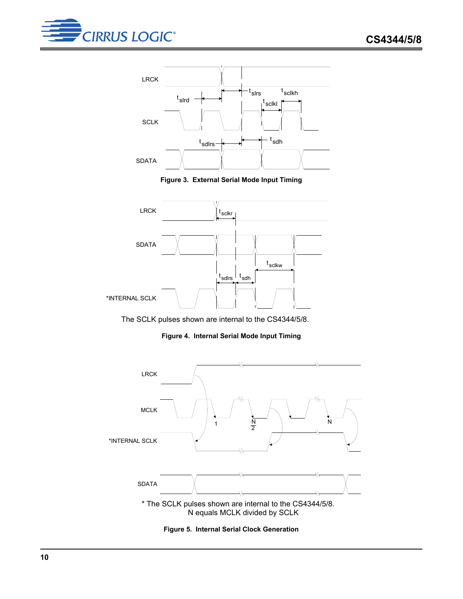



**Figure 3. External Serial Mode Input Timing**

<span id="page-9-0"></span>

The SCLK pulses shown are internal to the CS4344/5/8.

**Figure 4. Internal Serial Mode Input Timing**

<span id="page-9-1"></span>

<span id="page-9-2"></span>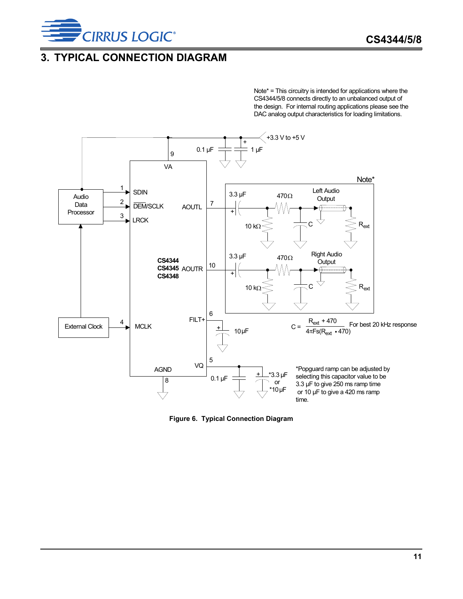

### <span id="page-10-0"></span>**3. TYPICAL CONNECTION DIAGRAM**

Note\* = This circuitry is intended for applications where the CS4344/5/8 connects directly to an unbalanced output of the design. For internal routing applications please see the DAC analog output characteristics for loading limitations.



<span id="page-10-1"></span>**Figure 6. Typical Connection Diagram**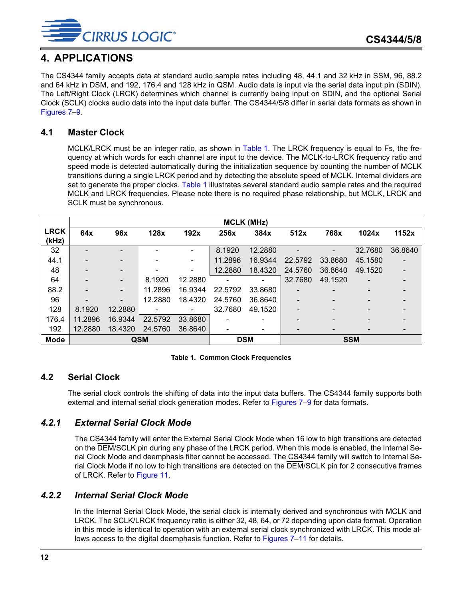

### <span id="page-11-0"></span>**4. APPLICATIONS**

The CS4344 family accepts data at standard audio sample rates including 48, 44.1 and 32 kHz in SSM, 96, 88.2 and 64 kHz in DSM, and 192, 176.4 and 128 kHz in QSM. Audio data is input via the serial data input pin (SDIN). The Left/Right Clock (LRCK) determines which channel is currently being input on SDIN, and the optional Serial Clock (SCLK) clocks audio data into the input data buffer. The CS4344/5/8 differ in serial data formats as shown in [Figures 7–](#page-12-0)[9.](#page-13-0)

#### <span id="page-11-1"></span>**4.1 Master Clock**

MCLK/LRCK must be an integer ratio, as shown in [Table 1](#page-11-5). The LRCK frequency is equal to Fs, the frequency at which words for each channel are input to the device. The MCLK-to-LRCK frequency ratio and speed mode is detected automatically during the initialization sequence by counting the number of MCLK transitions during a single LRCK period and by detecting the absolute speed of MCLK. Internal dividers are set to generate the proper clocks. [Table 1](#page-11-5) illustrates several standard audio sample rates and the required MCLK and LRCK frequencies. Please note there is no required phase relationship, but MCLK, LRCK and SCLK must be synchronous.

|                      | <b>MCLK (MHz)</b> |                          |         |         |         |            |                          |                          |                          |         |  |
|----------------------|-------------------|--------------------------|---------|---------|---------|------------|--------------------------|--------------------------|--------------------------|---------|--|
| <b>LRCK</b><br>(kHz) | 64x               | 96x                      | 128x    | 192x    | 256x    | 384x       | 512x                     | 768x                     | 1024x                    | 1152x   |  |
| 32                   |                   |                          |         |         | 8.1920  | 12.2880    |                          |                          | 32.7680                  | 36.8640 |  |
| 44.1                 |                   |                          |         |         | 11.2896 | 16.9344    | 22.5792                  | 33.8680                  | 45.1580                  |         |  |
| 48                   |                   |                          |         |         | 12.2880 | 18.4320    | 24.5760                  | 36.8640                  | 49.1520                  |         |  |
| 64                   |                   |                          | 8.1920  | 12.2880 |         |            | 32.7680                  | 49.1520                  |                          |         |  |
| 88.2                 |                   |                          | 11.2896 | 16.9344 | 22.5792 | 33.8680    | $\overline{\phantom{0}}$ | -                        |                          |         |  |
| 96                   |                   | $\overline{\phantom{a}}$ | 12.2880 | 18.4320 | 24.5760 | 36.8640    | $\overline{\phantom{0}}$ | $\overline{\phantom{0}}$ | $\overline{\phantom{0}}$ |         |  |
| 128                  | 8.1920            | 12.2880                  |         |         | 32.7680 | 49.1520    |                          |                          |                          |         |  |
| 176.4                | 11.2896           | 16.9344                  | 22.5792 | 33.8680 |         |            |                          |                          |                          |         |  |
| 192                  | 12.2880           | 18.4320                  | 24.5760 | 36.8640 |         |            | -                        |                          |                          |         |  |
| <b>Mode</b>          | <b>QSM</b>        |                          |         |         |         | <b>DSM</b> |                          |                          | <b>SSM</b>               |         |  |

#### **Table 1. Common Clock Frequencies**

### <span id="page-11-5"></span><span id="page-11-2"></span>**4.2 Serial Clock**

The serial clock controls the shifting of data into the input data buffers. The CS4344 family supports both external and internal serial clock generation modes. Refer to [Figures 7](#page-12-0)-9 for data formats.

#### <span id="page-11-3"></span>*4.2.1 External Serial Clock Mode*

The CS4344 family will enter the External Serial Clock Mode when 16 low to high transitions are detected on the DEM/SCLK pin during any phase of the LRCK period. When this mode is enabled, the Internal Serial Clock Mode and deemphasis filter cannot be accessed. The CS4344 family will switch to Internal Serial Clock Mode if no low to high transitions are detected on the DEM/SCLK pin for 2 consecutive frames of LRCK. Refer to [Figure 11.](#page-15-0)

#### <span id="page-11-4"></span>*4.2.2 Internal Serial Clock Mode*

In the Internal Serial Clock Mode, the serial clock is internally derived and synchronous with MCLK and LRCK. The SCLK/LRCK frequency ratio is either 32, 48, 64, or 72 depending upon data format. Operation in this mode is identical to operation with an external serial clock synchronized with LRCK. This mode al-lows access to the digital deemphasis function. Refer to [Figures 7](#page-12-0)–[11](#page-15-0) for details.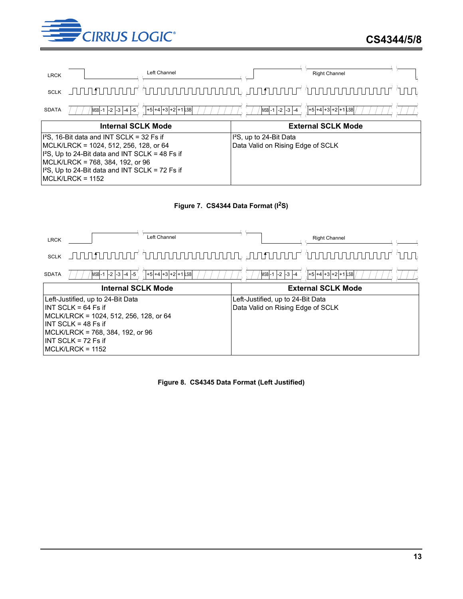![](_page_12_Picture_0.jpeg)

![](_page_12_Figure_2.jpeg)

![](_page_12_Figure_3.jpeg)

<span id="page-12-0"></span>![](_page_12_Figure_4.jpeg)

<span id="page-12-1"></span>**Figure 8. CS4345 Data Format (Left Justified)**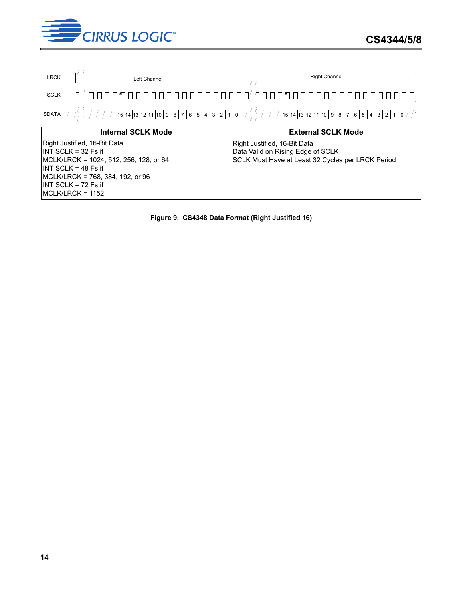![](_page_13_Picture_0.jpeg)

![](_page_13_Figure_2.jpeg)

<span id="page-13-0"></span>**Figure 9. CS4348 Data Format (Right Justified 16)**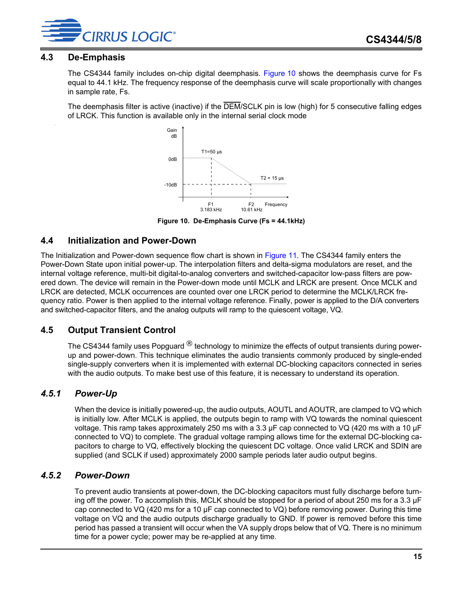![](_page_14_Picture_1.jpeg)

#### <span id="page-14-0"></span>**4.3 De-Emphasis**

.

The CS4344 family includes on-chip digital deemphasis. [Figure 10](#page-14-5) shows the deemphasis curve for Fs equal to 44.1 kHz. The frequency response of the deemphasis curve will scale proportionally with changes in sample rate, Fs.

The deemphasis filter is active (inactive) if the DEM/SCLK pin is low (high) for 5 consecutive falling edges of LRCK. This function is available only in the internal serial clock mode

![](_page_14_Figure_5.jpeg)

**Figure 10. De-Emphasis Curve (Fs = 44.1kHz)**

#### <span id="page-14-5"></span><span id="page-14-1"></span>**4.4 Initialization and Power-Down**

The Initialization and Power-down sequence flow chart is shown in [Figure 11.](#page-15-0) The CS4344 family enters the Power-Down State upon initial power-up. The interpolation filters and delta-sigma modulators are reset, and the internal voltage reference, multi-bit digital-to-analog converters and switched-capacitor low-pass filters are powered down. The device will remain in the Power-down mode until MCLK and LRCK are present. Once MCLK and LRCK are detected, MCLK occurrences are counted over one LRCK period to determine the MCLK/LRCK frequency ratio. Power is then applied to the internal voltage reference. Finally, power is applied to the D/A converters and switched-capacitor filters, and the analog outputs will ramp to the quiescent voltage, VQ.

### <span id="page-14-2"></span>**4.5 Output Transient Control**

The CS4344 family uses Popguard  $^{\circledR}$  technology to minimize the effects of output transients during powerup and power-down. This technique eliminates the audio transients commonly produced by single-ended single-supply converters when it is implemented with external DC-blocking capacitors connected in series with the audio outputs. To make best use of this feature, it is necessary to understand its operation.

### <span id="page-14-3"></span>*4.5.1 Power-Up*

When the device is initially powered-up, the audio outputs, AOUTL and AOUTR, are clamped to VQ which is initially low. After MCLK is applied, the outputs begin to ramp with VQ towards the nominal quiescent voltage. This ramp takes approximately 250 ms with a 3.3 µF cap connected to VQ (420 ms with a 10 µF connected to VQ) to complete. The gradual voltage ramping allows time for the external DC-blocking capacitors to charge to VQ, effectively blocking the quiescent DC voltage. Once valid LRCK and SDIN are supplied (and SCLK if used) approximately 2000 sample periods later audio output begins.

### <span id="page-14-4"></span>*4.5.2 Power-Down*

To prevent audio transients at power-down, the DC-blocking capacitors must fully discharge before turning off the power. To accomplish this, MCLK should be stopped for a period of about 250 ms for a 3.3 µF cap connected to VQ (420 ms for a 10 µF cap connected to VQ) before removing power. During this time voltage on VQ and the audio outputs discharge gradually to GND. If power is removed before this time period has passed a transient will occur when the VA supply drops below that of VQ. There is no minimum time for a power cycle; power may be re-applied at any time.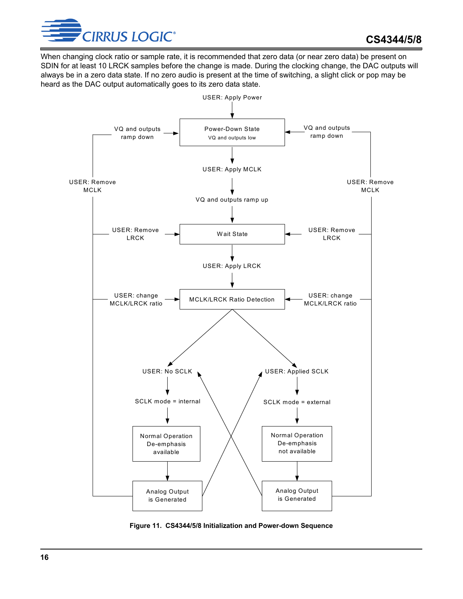![](_page_15_Picture_0.jpeg)

When changing clock ratio or sample rate, it is recommended that zero data (or near zero data) be present on SDIN for at least 10 LRCK samples before the change is made. During the clocking change, the DAC outputs will always be in a zero data state. If no zero audio is present at the time of switching, a slight click or pop may be heard as the DAC output automatically goes to its zero data state.

![](_page_15_Figure_3.jpeg)

<span id="page-15-0"></span>**Figure 11. CS4344/5/8 Initialization and Power-down Sequence**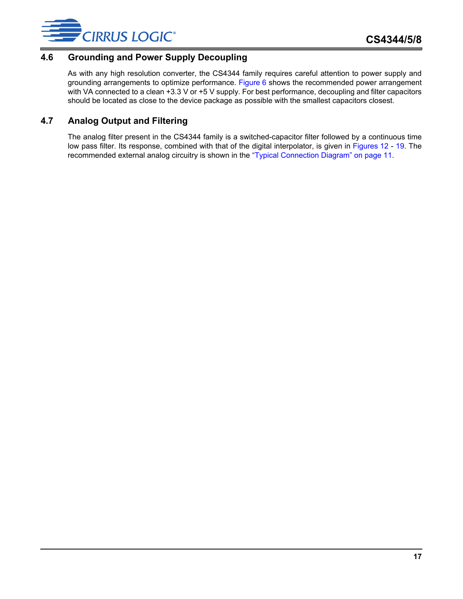![](_page_16_Picture_0.jpeg)

### <span id="page-16-0"></span>**4.6 Grounding and Power Supply Decoupling**

As with any high resolution converter, the CS4344 family requires careful attention to power supply and grounding arrangements to optimize performance. [Figure 6](#page-10-1) shows the recommended power arrangement with VA connected to a clean +3.3 V or +5 V supply. For best performance, decoupling and filter capacitors should be located as close to the device package as possible with the smallest capacitors closest.

### <span id="page-16-1"></span>**4.7 Analog Output and Filtering**

The analog filter present in the CS4344 family is a switched-capacitor filter followed by a continuous time low pass filter. Its response, combined with that of the digital interpolator, is given in [Figures 12](#page-17-1) - [19.](#page-18-3) The recommended external analog circuitry is shown in the ["Typical Connection Diagram" on page 11.](#page-10-0)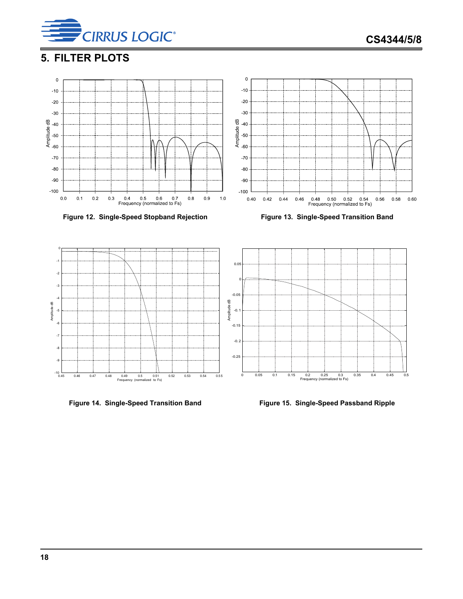![](_page_17_Picture_0.jpeg)

## <span id="page-17-0"></span>**5. FILTER PLOTS**

![](_page_17_Figure_3.jpeg)

<span id="page-17-1"></span>![](_page_17_Figure_4.jpeg)

![](_page_17_Figure_5.jpeg)

<span id="page-17-2"></span>

![](_page_17_Figure_7.jpeg)

 $\mathbf 0$ 

<span id="page-17-4"></span>

<span id="page-17-3"></span>Figure 14. Single-Speed Transition Band Figure 15. Single-Speed Passband Ripple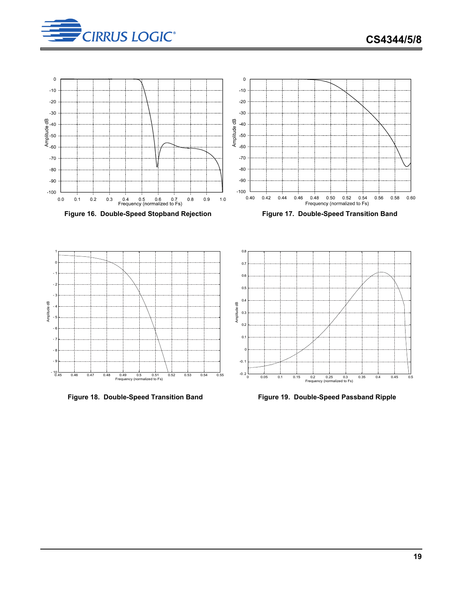![](_page_18_Picture_1.jpeg)

![](_page_18_Figure_2.jpeg)

<span id="page-18-0"></span>**Figure 16. Double-Speed Stopband Rejection Figure 17. Double-Speed Transition Band**

<span id="page-18-1"></span>![](_page_18_Figure_4.jpeg)

![](_page_18_Figure_5.jpeg)

<span id="page-18-3"></span>![](_page_18_Figure_7.jpeg)

<span id="page-18-2"></span>Figure 18. Double-Speed Transition Band **Figure 19. Double-Speed Passband Ripple**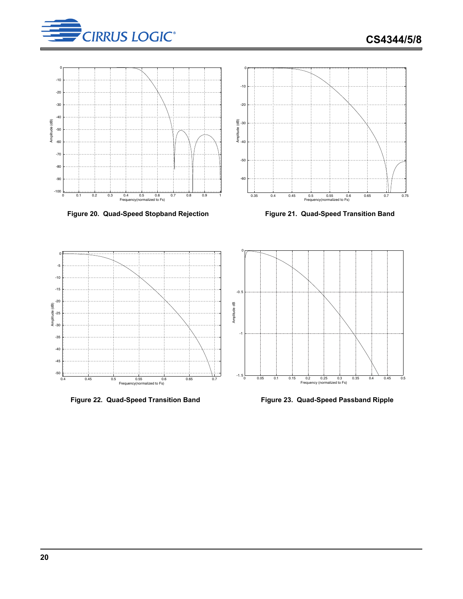![](_page_19_Picture_0.jpeg)

![](_page_19_Figure_2.jpeg)

<span id="page-19-0"></span>Figure 20. Quad-Speed Stopband Rejection **Figure 21. Quad-Speed Transition Band** 

![](_page_19_Figure_4.jpeg)

<span id="page-19-1"></span>

![](_page_19_Figure_6.jpeg)

<span id="page-19-3"></span>![](_page_19_Figure_8.jpeg)

<span id="page-19-2"></span>![](_page_19_Figure_9.jpeg)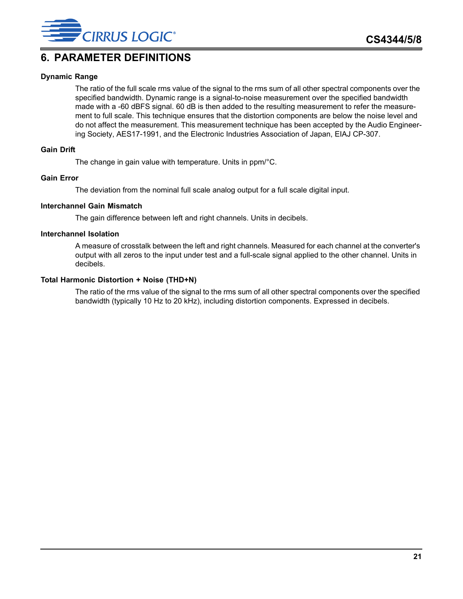![](_page_20_Picture_0.jpeg)

### <span id="page-20-0"></span>**6. PARAMETER DEFINITIONS**

#### **Dynamic Range**

The ratio of the full scale rms value of the signal to the rms sum of all other spectral components over the specified bandwidth. Dynamic range is a signal-to-noise measurement over the specified bandwidth made with a -60 dBFS signal. 60 dB is then added to the resulting measurement to refer the measurement to full scale. This technique ensures that the distortion components are below the noise level and do not affect the measurement. This measurement technique has been accepted by the Audio Engineering Society, AES17-1991, and the Electronic Industries Association of Japan, EIAJ CP-307.

#### **Gain Drift**

The change in gain value with temperature. Units in ppm/°C.

#### **Gain Error**

The deviation from the nominal full scale analog output for a full scale digital input.

#### **Interchannel Gain Mismatch**

The gain difference between left and right channels. Units in decibels.

#### **Interchannel Isolation**

A measure of crosstalk between the left and right channels. Measured for each channel at the converter's output with all zeros to the input under test and a full-scale signal applied to the other channel. Units in decibels.

#### **Total Harmonic Distortion + Noise (THD+N)**

The ratio of the rms value of the signal to the rms sum of all other spectral components over the specified bandwidth (typically 10 Hz to 20 kHz), including distortion components. Expressed in decibels.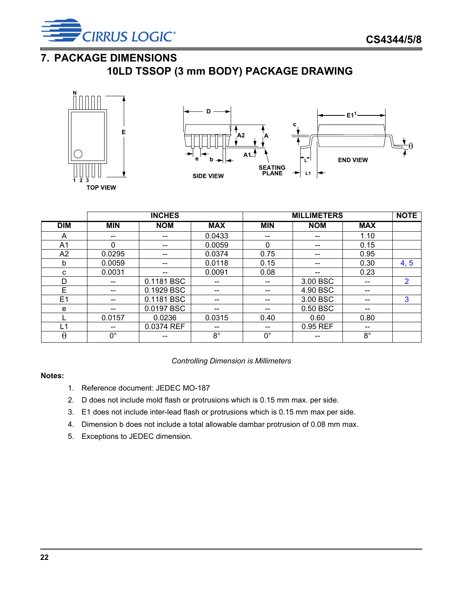![](_page_21_Picture_0.jpeg)

## <span id="page-21-0"></span>**7. PACKAGE DIMENSIONS**

**10LD TSSOP (3 mm BODY) PACKAGE DRAWING**

![](_page_21_Figure_4.jpeg)

![](_page_21_Figure_5.jpeg)

|            | <b>INCHES</b> |            |             | <b>MILLIMETERS</b> | <b>NOTE</b> |             |                |
|------------|---------------|------------|-------------|--------------------|-------------|-------------|----------------|
| <b>DIM</b> | <b>MIN</b>    | <b>NOM</b> | <b>MAX</b>  | <b>MIN</b>         | <b>NOM</b>  | <b>MAX</b>  |                |
| A          | --            | --         | 0.0433      | --                 | --          | 1.10        |                |
| A1         | 0             | --         | 0.0059      | 0                  |             | 0.15        |                |
| A2         | 0.0295        | --         | 0.0374      | 0.75               | $- -$       | 0.95        |                |
| b          | 0.0059        | --         | 0.0118      | 0.15               | --          | 0.30        | 4, 5           |
| C          | 0.0031        | --         | 0.0091      | 0.08               | --          | 0.23        |                |
| D          | --            | 0.1181 BSC | --          | --                 | 3.00 BSC    | --          | $\overline{2}$ |
| E          |               | 0.1929 BSC |             |                    | 4.90 BSC    |             |                |
| E1         | --            | 0.1181 BSC | --          | --                 | 3.00 BSC    | --          | 3              |
| e          | --            | 0.0197 BSC | --          | --                 | 0.50 BSC    | --          |                |
|            | 0.0157        | 0.0236     | 0.0315      | 0.40               | 0.60        | 0.80        |                |
| L1         | --            | 0.0374 REF | $- -$       | $- -$              | 0.95 REF    | --          |                |
| $\theta$   | $0^{\circ}$   |            | $8^{\circ}$ | $0^{\circ}$        |             | $8^{\circ}$ |                |

*Controlling Dimension is Millimeters*

#### <span id="page-21-3"></span>**Notes:**

- 1. Reference document: JEDEC MO-187
- 2. D does not include mold flash or protrusions which is 0.15 mm max. per side.
- <span id="page-21-4"></span>3. E1 does not include inter-lead flash or protrusions which is 0.15 mm max per side.
- <span id="page-21-1"></span>4. Dimension b does not include a total allowable dambar protrusion of 0.08 mm max.
- <span id="page-21-2"></span>5. Exceptions to JEDEC dimension.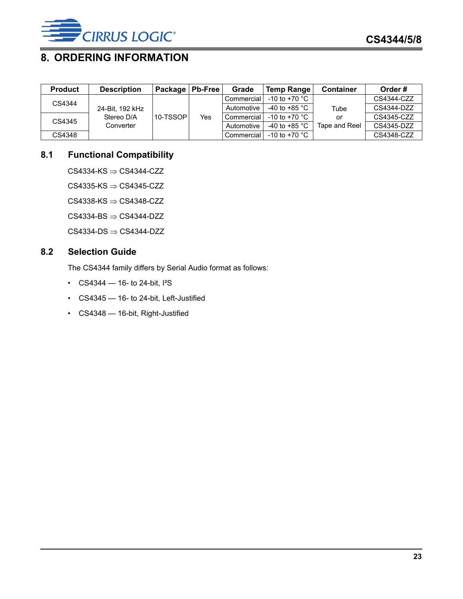![](_page_22_Picture_0.jpeg)

## <span id="page-22-0"></span>**8. ORDERING INFORMATION**

| <b>Product</b> | <b>Description</b>                         | Package   Pb-Free |     | Grade             | <b>Temp Range</b>       | <b>Container</b> | Order#     |
|----------------|--------------------------------------------|-------------------|-----|-------------------|-------------------------|------------------|------------|
| CS4344         | 24-Bit. 192 kHz<br>Stereo D/A<br>Converter | 10-TSSOP          | Yes | <b>Commercial</b> | -10 to +70 $^{\circ}$ C |                  | CS4344-CZZ |
|                |                                            |                   |     | Automotive        | -40 to +85 $^{\circ}$ C | Tube             | CS4344-DZZ |
| CS4345         |                                            |                   |     | Commercial        | -10 to +70 $^{\circ}$ C | or               | CS4345-CZZ |
|                |                                            |                   |     | Automotive        | -40 to +85 $^{\circ}$ C | Tape and Reel    | CS4345-DZZ |
| CS4348         |                                            |                   |     | Commercial        | -10 to +70 $^{\circ}$ C |                  | CS4348-CZZ |

### <span id="page-22-1"></span>**8.1 Functional Compatibility**

 $CS4334-KS \Rightarrow CS4344-CZZ$ 

 $CS4335-KS \Rightarrow CS4345-CZZ$ 

 $CS4338$ -KS  $\Rightarrow$  CS4348-CZZ

 $CS4334-BS \Rightarrow CS4344-DZZ$ 

 $CS4334-DS \Rightarrow CS4344- DZZ$ 

### <span id="page-22-2"></span>**8.2 Selection Guide**

The CS4344 family differs by Serial Audio format as follows:

- $CS4344 16$  to 24-bit,  $I^2S$
- CS4345 16- to 24-bit, Left-Justified
- CS4348 16-bit, Right-Justified